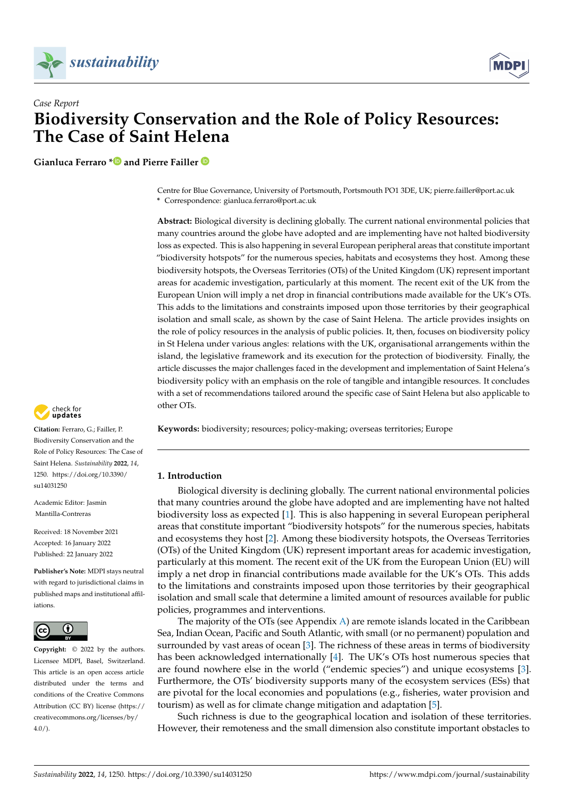



# *Case Report* **Biodiversity Conservation and the Role of Policy Resources: The Case of Saint Helena**

**Gianluca Ferraro [\\*](https://orcid.org/0000-0002-9457-6136) and Pierre Failler**

Centre for Blue Governance, University of Portsmouth, Portsmouth PO1 3DE, UK; pierre.failler@port.ac.uk **\*** Correspondence: gianluca.ferraro@port.ac.uk

**Abstract:** Biological diversity is declining globally. The current national environmental policies that many countries around the globe have adopted and are implementing have not halted biodiversity loss as expected. This is also happening in several European peripheral areas that constitute important "biodiversity hotspots" for the numerous species, habitats and ecosystems they host. Among these biodiversity hotspots, the Overseas Territories (OTs) of the United Kingdom (UK) represent important areas for academic investigation, particularly at this moment. The recent exit of the UK from the European Union will imply a net drop in financial contributions made available for the UK's OTs. This adds to the limitations and constraints imposed upon those territories by their geographical isolation and small scale, as shown by the case of Saint Helena. The article provides insights on the role of policy resources in the analysis of public policies. It, then, focuses on biodiversity policy in St Helena under various angles: relations with the UK, organisational arrangements within the island, the legislative framework and its execution for the protection of biodiversity. Finally, the article discusses the major challenges faced in the development and implementation of Saint Helena's biodiversity policy with an emphasis on the role of tangible and intangible resources. It concludes with a set of recommendations tailored around the specific case of Saint Helena but also applicable to other OTs.

**Keywords:** biodiversity; resources; policy-making; overseas territories; Europe

# **1. Introduction**

Biological diversity is declining globally. The current national environmental policies that many countries around the globe have adopted and are implementing have not halted biodiversity loss as expected [\[1\]](#page-11-0). This is also happening in several European peripheral areas that constitute important "biodiversity hotspots" for the numerous species, habitats and ecosystems they host [\[2\]](#page-11-1). Among these biodiversity hotspots, the Overseas Territories (OTs) of the United Kingdom (UK) represent important areas for academic investigation, particularly at this moment. The recent exit of the UK from the European Union (EU) will imply a net drop in financial contributions made available for the UK's OTs. This adds to the limitations and constraints imposed upon those territories by their geographical isolation and small scale that determine a limited amount of resources available for public policies, programmes and interventions.

The majority of the OTs (see Appendix [A\)](#page-10-0) are remote islands located in the Caribbean Sea, Indian Ocean, Pacific and South Atlantic, with small (or no permanent) population and surrounded by vast areas of ocean [\[3\]](#page-11-2). The richness of these areas in terms of biodiversity has been acknowledged internationally [\[4\]](#page-11-3). The UK's OTs host numerous species that are found nowhere else in the world ("endemic species") and unique ecosystems [\[3\]](#page-11-2). Furthermore, the OTs' biodiversity supports many of the ecosystem services (ESs) that are pivotal for the local economies and populations (e.g., fisheries, water provision and tourism) as well as for climate change mitigation and adaptation [\[5\]](#page-11-4).

Such richness is due to the geographical location and isolation of these territories. However, their remoteness and the small dimension also constitute important obstacles to



**Citation:** Ferraro, G.; Failler, P. Biodiversity Conservation and the Role of Policy Resources: The Case of Saint Helena. *Sustainability* **2022**, *14*, 1250. [https://doi.org/10.3390/](https://doi.org/10.3390/su14031250) [su14031250](https://doi.org/10.3390/su14031250)

Academic Editor: Jasmin Mantilla-Contreras

Received: 18 November 2021 Accepted: 16 January 2022 Published: 22 January 2022

**Publisher's Note:** MDPI stays neutral with regard to jurisdictional claims in published maps and institutional affiliations.



**Copyright:** © 2022 by the authors. Licensee MDPI, Basel, Switzerland. This article is an open access article distributed under the terms and conditions of the Creative Commons Attribution (CC BY) license [\(https://](https://creativecommons.org/licenses/by/4.0/) [creativecommons.org/licenses/by/](https://creativecommons.org/licenses/by/4.0/)  $4.0/$ ).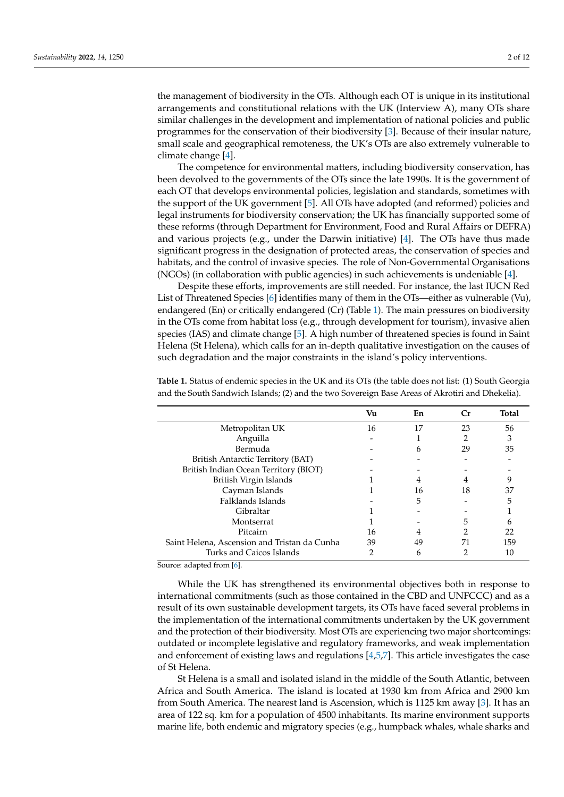the management of biodiversity in the OTs. Although each OT is unique in its institutional arrangements and constitutional relations with the UK (Interview A), many OTs share similar challenges in the development and implementation of national policies and public programmes for the conservation of their biodiversity [\[3\]](#page-11-2). Because of their insular nature, small scale and geographical remoteness, the UK's OTs are also extremely vulnerable to climate change [\[4\]](#page-11-3).

The competence for environmental matters, including biodiversity conservation, has been devolved to the governments of the OTs since the late 1990s. It is the government of each OT that develops environmental policies, legislation and standards, sometimes with the support of the UK government [\[5\]](#page-11-4). All OTs have adopted (and reformed) policies and legal instruments for biodiversity conservation; the UK has financially supported some of these reforms (through Department for Environment, Food and Rural Affairs or DEFRA) and various projects (e.g., under the Darwin initiative)  $[4]$ . The OTs have thus made significant progress in the designation of protected areas, the conservation of species and habitats, and the control of invasive species. The role of Non-Governmental Organisations (NGOs) (in collaboration with public agencies) in such achievements is undeniable [\[4\]](#page-11-3).

Despite these efforts, improvements are still needed. For instance, the last IUCN Red List of Threatened Species [\[6\]](#page-11-5) identifies many of them in the OTs—either as vulnerable (Vu), endangered (En) or critically endangered (Cr) (Table [1\)](#page-1-0). The main pressures on biodiversity in the OTs come from habitat loss (e.g., through development for tourism), invasive alien species (IAS) and climate change [\[5\]](#page-11-4). A high number of threatened species is found in Saint Helena (St Helena), which calls for an in-depth qualitative investigation on the causes of such degradation and the major constraints in the island's policy interventions.

|                                                                         | Vu | En | Cr | <b>Total</b> |
|-------------------------------------------------------------------------|----|----|----|--------------|
| Metropolitan UK                                                         | 16 | 17 | 23 | 56           |
| Anguilla                                                                |    |    | 2  | 3            |
| Bermuda                                                                 |    | 6  | 29 | 35           |
| British Antarctic Territory (BAT)                                       |    |    |    |              |
| British Indian Ocean Territory (BIOT)                                   |    |    |    |              |
| British Virgin Islands                                                  |    | 4  | 4  |              |
| Cayman Islands                                                          |    | 16 | 18 | 37           |
| Falklands Islands                                                       |    | 5  |    | 5            |
| Gibraltar                                                               |    |    |    |              |
| Montserrat                                                              |    |    | 5  | h            |
| Pitcairn                                                                | 16 |    |    | 22           |
| Saint Helena, Ascension and Tristan da Cunha                            | 39 | 49 | 71 | 159          |
| Turks and Caicos Islands<br>$\sim$ $\sim$ $\sim$ $\sim$<br>$\mathbf{r}$ |    | 6  |    | 10           |

<span id="page-1-0"></span>**Table 1.** Status of endemic species in the UK and its OTs (the table does not list: (1) South Georgia and the South Sandwich Islands; (2) and the two Sovereign Base Areas of Akrotiri and Dhekelia).

Source: adapted from [\[6\]](#page-11-5).

While the UK has strengthened its environmental objectives both in response to international commitments (such as those contained in the CBD and UNFCCC) and as a result of its own sustainable development targets, its OTs have faced several problems in the implementation of the international commitments undertaken by the UK government and the protection of their biodiversity. Most OTs are experiencing two major shortcomings: outdated or incomplete legislative and regulatory frameworks, and weak implementation and enforcement of existing laws and regulations [\[4](#page-11-3)[,5](#page-11-4)[,7\]](#page-11-6). This article investigates the case of St Helena.

St Helena is a small and isolated island in the middle of the South Atlantic, between Africa and South America. The island is located at 1930 km from Africa and 2900 km from South America. The nearest land is Ascension, which is 1125 km away [\[3\]](#page-11-2). It has an area of 122 sq. km for a population of 4500 inhabitants. Its marine environment supports marine life, both endemic and migratory species (e.g., humpback whales, whale sharks and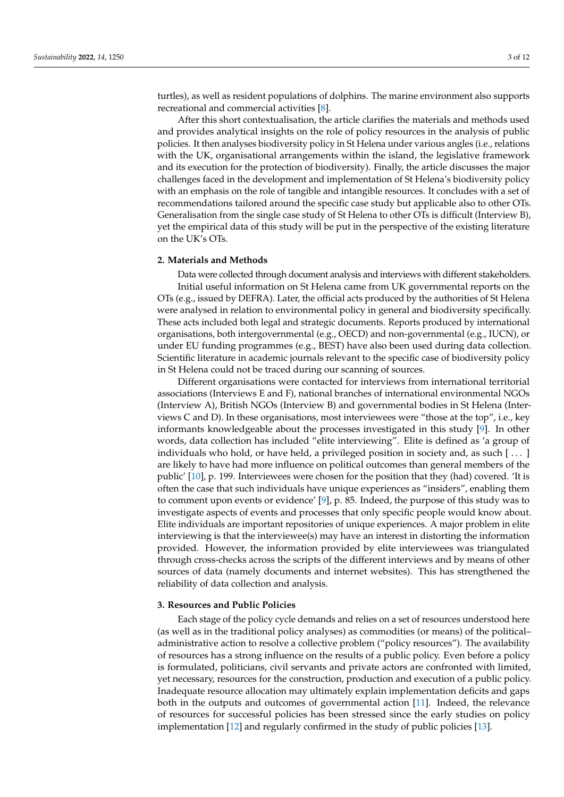turtles), as well as resident populations of dolphins. The marine environment also supports recreational and commercial activities [\[8\]](#page-11-7).

After this short contextualisation, the article clarifies the materials and methods used and provides analytical insights on the role of policy resources in the analysis of public policies. It then analyses biodiversity policy in St Helena under various angles (i.e., relations with the UK, organisational arrangements within the island, the legislative framework and its execution for the protection of biodiversity). Finally, the article discusses the major challenges faced in the development and implementation of St Helena's biodiversity policy with an emphasis on the role of tangible and intangible resources. It concludes with a set of recommendations tailored around the specific case study but applicable also to other OTs. Generalisation from the single case study of St Helena to other OTs is difficult (Interview B), yet the empirical data of this study will be put in the perspective of the existing literature on the UK's OTs.

#### **2. Materials and Methods**

Data were collected through document analysis and interviews with different stakeholders. Initial useful information on St Helena came from UK governmental reports on the OTs (e.g., issued by DEFRA). Later, the official acts produced by the authorities of St Helena were analysed in relation to environmental policy in general and biodiversity specifically. These acts included both legal and strategic documents. Reports produced by international organisations, both intergovernmental (e.g., OECD) and non-governmental (e.g., IUCN), or under EU funding programmes (e.g., BEST) have also been used during data collection. Scientific literature in academic journals relevant to the specific case of biodiversity policy in St Helena could not be traced during our scanning of sources.

Different organisations were contacted for interviews from international territorial associations (Interviews E and F), national branches of international environmental NGOs (Interview A), British NGOs (Interview B) and governmental bodies in St Helena (Interviews C and D). In these organisations, most interviewees were "those at the top", i.e., key informants knowledgeable about the processes investigated in this study [\[9\]](#page-11-8). In other words, data collection has included "elite interviewing". Elite is defined as 'a group of individuals who hold, or have held, a privileged position in society and, as such [ . . . ] are likely to have had more influence on political outcomes than general members of the public' [\[10\]](#page-11-9), p. 199. Interviewees were chosen for the position that they (had) covered. 'It is often the case that such individuals have unique experiences as "insiders", enabling them to comment upon events or evidence' [\[9\]](#page-11-8), p. 85. Indeed, the purpose of this study was to investigate aspects of events and processes that only specific people would know about. Elite individuals are important repositories of unique experiences. A major problem in elite interviewing is that the interviewee(s) may have an interest in distorting the information provided. However, the information provided by elite interviewees was triangulated through cross-checks across the scripts of the different interviews and by means of other sources of data (namely documents and internet websites). This has strengthened the reliability of data collection and analysis.

# **3. Resources and Public Policies**

Each stage of the policy cycle demands and relies on a set of resources understood here (as well as in the traditional policy analyses) as commodities (or means) of the political– administrative action to resolve a collective problem ("policy resources"). The availability of resources has a strong influence on the results of a public policy. Even before a policy is formulated, politicians, civil servants and private actors are confronted with limited, yet necessary, resources for the construction, production and execution of a public policy. Inadequate resource allocation may ultimately explain implementation deficits and gaps both in the outputs and outcomes of governmental action [\[11\]](#page-11-10). Indeed, the relevance of resources for successful policies has been stressed since the early studies on policy implementation [\[12\]](#page-11-11) and regularly confirmed in the study of public policies [\[13\]](#page-11-12).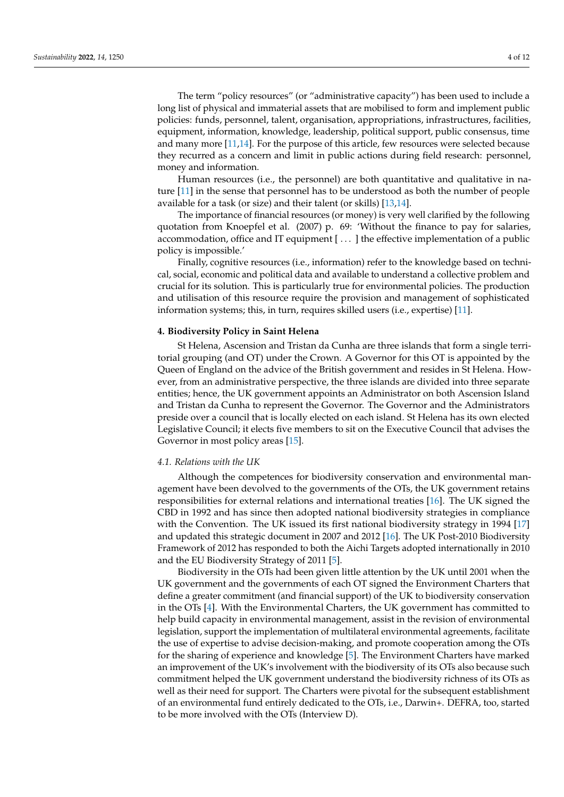The term "policy resources" (or "administrative capacity") has been used to include a long list of physical and immaterial assets that are mobilised to form and implement public policies: funds, personnel, talent, organisation, appropriations, infrastructures, facilities, equipment, information, knowledge, leadership, political support, public consensus, time and many more [\[11](#page-11-10)[,14\]](#page-11-13). For the purpose of this article, few resources were selected because they recurred as a concern and limit in public actions during field research: personnel, money and information.

Human resources (i.e., the personnel) are both quantitative and qualitative in nature [\[11\]](#page-11-10) in the sense that personnel has to be understood as both the number of people available for a task (or size) and their talent (or skills) [\[13](#page-11-12)[,14\]](#page-11-13).

The importance of financial resources (or money) is very well clarified by the following quotation from Knoepfel et al. (2007) p. 69: 'Without the finance to pay for salaries, accommodation, office and IT equipment [ . . . ] the effective implementation of a public policy is impossible.'

Finally, cognitive resources (i.e., information) refer to the knowledge based on technical, social, economic and political data and available to understand a collective problem and crucial for its solution. This is particularly true for environmental policies. The production and utilisation of this resource require the provision and management of sophisticated information systems; this, in turn, requires skilled users (i.e., expertise) [\[11\]](#page-11-10).

### **4. Biodiversity Policy in Saint Helena**

St Helena, Ascension and Tristan da Cunha are three islands that form a single territorial grouping (and OT) under the Crown. A Governor for this OT is appointed by the Queen of England on the advice of the British government and resides in St Helena. However, from an administrative perspective, the three islands are divided into three separate entities; hence, the UK government appoints an Administrator on both Ascension Island and Tristan da Cunha to represent the Governor. The Governor and the Administrators preside over a council that is locally elected on each island. St Helena has its own elected Legislative Council; it elects five members to sit on the Executive Council that advises the Governor in most policy areas [\[15\]](#page-11-14).

## *4.1. Relations with the UK*

Although the competences for biodiversity conservation and environmental management have been devolved to the governments of the OTs, the UK government retains responsibilities for external relations and international treaties [\[16\]](#page-11-15). The UK signed the CBD in 1992 and has since then adopted national biodiversity strategies in compliance with the Convention. The UK issued its first national biodiversity strategy in 1994 [\[17\]](#page-11-16) and updated this strategic document in 2007 and 2012 [\[16\]](#page-11-15). The UK Post-2010 Biodiversity Framework of 2012 has responded to both the Aichi Targets adopted internationally in 2010 and the EU Biodiversity Strategy of 2011 [\[5\]](#page-11-4).

Biodiversity in the OTs had been given little attention by the UK until 2001 when the UK government and the governments of each OT signed the Environment Charters that define a greater commitment (and financial support) of the UK to biodiversity conservation in the OTs [\[4\]](#page-11-3). With the Environmental Charters, the UK government has committed to help build capacity in environmental management, assist in the revision of environmental legislation, support the implementation of multilateral environmental agreements, facilitate the use of expertise to advise decision-making, and promote cooperation among the OTs for the sharing of experience and knowledge [\[5\]](#page-11-4). The Environment Charters have marked an improvement of the UK's involvement with the biodiversity of its OTs also because such commitment helped the UK government understand the biodiversity richness of its OTs as well as their need for support. The Charters were pivotal for the subsequent establishment of an environmental fund entirely dedicated to the OTs, i.e., Darwin+. DEFRA, too, started to be more involved with the OTs (Interview D).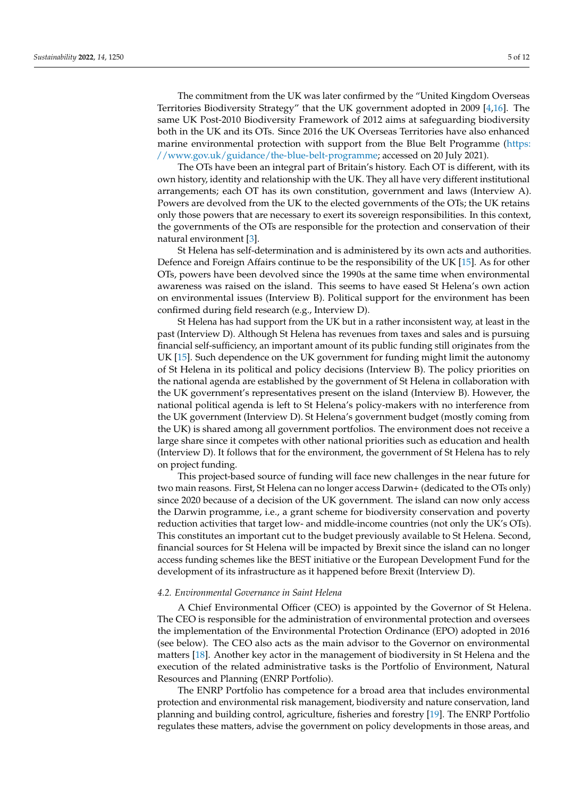The commitment from the UK was later confirmed by the "United Kingdom Overseas Territories Biodiversity Strategy" that the UK government adopted in 2009 [\[4](#page-11-3)[,16\]](#page-11-15). The same UK Post-2010 Biodiversity Framework of 2012 aims at safeguarding biodiversity both in the UK and its OTs. Since 2016 the UK Overseas Territories have also enhanced marine environmental protection with support from the Blue Belt Programme [\(https:](https://www.gov.uk/guidance/the-blue-belt-programme) [//www.gov.uk/guidance/the-blue-belt-programme;](https://www.gov.uk/guidance/the-blue-belt-programme) accessed on 20 July 2021).

The OTs have been an integral part of Britain's history. Each OT is different, with its own history, identity and relationship with the UK. They all have very different institutional arrangements; each OT has its own constitution, government and laws (Interview A). Powers are devolved from the UK to the elected governments of the OTs; the UK retains only those powers that are necessary to exert its sovereign responsibilities. In this context, the governments of the OTs are responsible for the protection and conservation of their natural environment [\[3\]](#page-11-2).

St Helena has self-determination and is administered by its own acts and authorities. Defence and Foreign Affairs continue to be the responsibility of the UK [\[15\]](#page-11-14). As for other OTs, powers have been devolved since the 1990s at the same time when environmental awareness was raised on the island. This seems to have eased St Helena's own action on environmental issues (Interview B). Political support for the environment has been confirmed during field research (e.g., Interview D).

St Helena has had support from the UK but in a rather inconsistent way, at least in the past (Interview D). Although St Helena has revenues from taxes and sales and is pursuing financial self-sufficiency, an important amount of its public funding still originates from the UK [\[15\]](#page-11-14). Such dependence on the UK government for funding might limit the autonomy of St Helena in its political and policy decisions (Interview B). The policy priorities on the national agenda are established by the government of St Helena in collaboration with the UK government's representatives present on the island (Interview B). However, the national political agenda is left to St Helena's policy-makers with no interference from the UK government (Interview D). St Helena's government budget (mostly coming from the UK) is shared among all government portfolios. The environment does not receive a large share since it competes with other national priorities such as education and health (Interview D). It follows that for the environment, the government of St Helena has to rely on project funding.

This project-based source of funding will face new challenges in the near future for two main reasons. First, St Helena can no longer access Darwin+ (dedicated to the OTs only) since 2020 because of a decision of the UK government. The island can now only access the Darwin programme, i.e., a grant scheme for biodiversity conservation and poverty reduction activities that target low- and middle-income countries (not only the UK's OTs). This constitutes an important cut to the budget previously available to St Helena. Second, financial sources for St Helena will be impacted by Brexit since the island can no longer access funding schemes like the BEST initiative or the European Development Fund for the development of its infrastructure as it happened before Brexit (Interview D).

#### *4.2. Environmental Governance in Saint Helena*

A Chief Environmental Officer (CEO) is appointed by the Governor of St Helena. The CEO is responsible for the administration of environmental protection and oversees the implementation of the Environmental Protection Ordinance (EPO) adopted in 2016 (see below). The CEO also acts as the main advisor to the Governor on environmental matters [\[18\]](#page-11-17). Another key actor in the management of biodiversity in St Helena and the execution of the related administrative tasks is the Portfolio of Environment, Natural Resources and Planning (ENRP Portfolio).

The ENRP Portfolio has competence for a broad area that includes environmental protection and environmental risk management, biodiversity and nature conservation, land planning and building control, agriculture, fisheries and forestry [\[19\]](#page-11-18). The ENRP Portfolio regulates these matters, advise the government on policy developments in those areas, and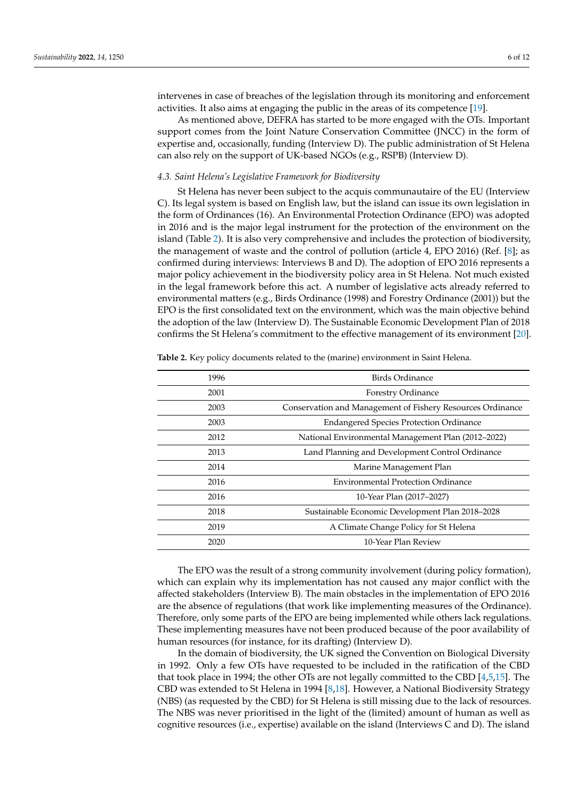intervenes in case of breaches of the legislation through its monitoring and enforcement activities. It also aims at engaging the public in the areas of its competence [\[19\]](#page-11-18).

As mentioned above, DEFRA has started to be more engaged with the OTs. Important support comes from the Joint Nature Conservation Committee (JNCC) in the form of expertise and, occasionally, funding (Interview D). The public administration of St Helena can also rely on the support of UK-based NGOs (e.g., RSPB) (Interview D).

#### *4.3. Saint Helena's Legislative Framework for Biodiversity*

St Helena has never been subject to the acquis communautaire of the EU (Interview C). Its legal system is based on English law, but the island can issue its own legislation in the form of Ordinances (16). An Environmental Protection Ordinance (EPO) was adopted in 2016 and is the major legal instrument for the protection of the environment on the island (Table [2\)](#page-5-0). It is also very comprehensive and includes the protection of biodiversity, the management of waste and the control of pollution (article 4, EPO 2016) (Ref. [\[8\]](#page-11-7); as confirmed during interviews: Interviews B and D). The adoption of EPO 2016 represents a major policy achievement in the biodiversity policy area in St Helena. Not much existed in the legal framework before this act. A number of legislative acts already referred to environmental matters (e.g., Birds Ordinance (1998) and Forestry Ordinance (2001)) but the EPO is the first consolidated text on the environment, which was the main objective behind the adoption of the law (Interview D). The Sustainable Economic Development Plan of 2018 confirms the St Helena's commitment to the effective management of its environment [\[20\]](#page-11-19).

| 1996 | Birds Ordinance                                            |
|------|------------------------------------------------------------|
| 2001 | <b>Forestry Ordinance</b>                                  |
| 2003 | Conservation and Management of Fishery Resources Ordinance |
| 2003 | <b>Endangered Species Protection Ordinance</b>             |
| 2012 | National Environmental Management Plan (2012–2022)         |
| 2013 | Land Planning and Development Control Ordinance            |
| 2014 | Marine Management Plan                                     |
| 2016 | <b>Environmental Protection Ordinance</b>                  |
| 2016 | 10-Year Plan (2017-2027)                                   |
| 2018 | Sustainable Economic Development Plan 2018-2028            |
| 2019 | A Climate Change Policy for St Helena                      |
| 2020 | 10-Year Plan Review                                        |
|      |                                                            |

<span id="page-5-0"></span>**Table 2.** Key policy documents related to the (marine) environment in Saint Helena.

The EPO was the result of a strong community involvement (during policy formation), which can explain why its implementation has not caused any major conflict with the affected stakeholders (Interview B). The main obstacles in the implementation of EPO 2016 are the absence of regulations (that work like implementing measures of the Ordinance). Therefore, only some parts of the EPO are being implemented while others lack regulations. These implementing measures have not been produced because of the poor availability of human resources (for instance, for its drafting) (Interview D).

In the domain of biodiversity, the UK signed the Convention on Biological Diversity in 1992. Only a few OTs have requested to be included in the ratification of the CBD that took place in 1994; the other OTs are not legally committed to the CBD [\[4,](#page-11-3)[5,](#page-11-4)[15\]](#page-11-14). The CBD was extended to St Helena in 1994 [\[8](#page-11-7)[,18\]](#page-11-17). However, a National Biodiversity Strategy (NBS) (as requested by the CBD) for St Helena is still missing due to the lack of resources. The NBS was never prioritised in the light of the (limited) amount of human as well as cognitive resources (i.e., expertise) available on the island (Interviews C and D). The island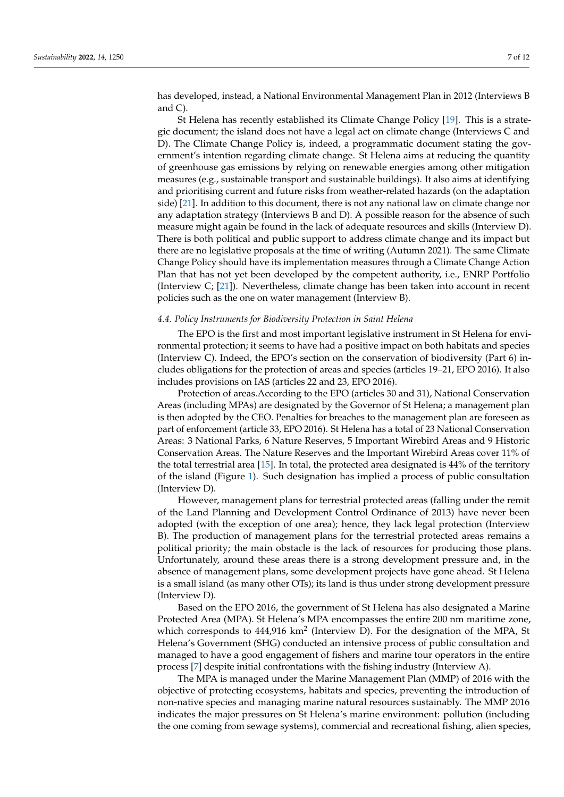has developed, instead, a National Environmental Management Plan in 2012 (Interviews B and C).

St Helena has recently established its Climate Change Policy [\[19\]](#page-11-18). This is a strategic document; the island does not have a legal act on climate change (Interviews C and D). The Climate Change Policy is, indeed, a programmatic document stating the government's intention regarding climate change. St Helena aims at reducing the quantity of greenhouse gas emissions by relying on renewable energies among other mitigation measures (e.g., sustainable transport and sustainable buildings). It also aims at identifying and prioritising current and future risks from weather-related hazards (on the adaptation side) [\[21\]](#page-11-20). In addition to this document, there is not any national law on climate change nor any adaptation strategy (Interviews B and D). A possible reason for the absence of such measure might again be found in the lack of adequate resources and skills (Interview D). There is both political and public support to address climate change and its impact but there are no legislative proposals at the time of writing (Autumn 2021). The same Climate Change Policy should have its implementation measures through a Climate Change Action Plan that has not yet been developed by the competent authority, i.e., ENRP Portfolio (Interview C; [\[21\]](#page-11-20)). Nevertheless, climate change has been taken into account in recent policies such as the one on water management (Interview B).

#### *4.4. Policy Instruments for Biodiversity Protection in Saint Helena*

The EPO is the first and most important legislative instrument in St Helena for environmental protection; it seems to have had a positive impact on both habitats and species (Interview C). Indeed, the EPO's section on the conservation of biodiversity (Part 6) includes obligations for the protection of areas and species (articles 19–21, EPO 2016). It also includes provisions on IAS (articles 22 and 23, EPO 2016).

Protection of areas.According to the EPO (articles 30 and 31), National Conservation Areas (including MPAs) are designated by the Governor of St Helena; a management plan is then adopted by the CEO. Penalties for breaches to the management plan are foreseen as part of enforcement (article 33, EPO 2016). St Helena has a total of 23 National Conservation Areas: 3 National Parks, 6 Nature Reserves, 5 Important Wirebird Areas and 9 Historic Conservation Areas. The Nature Reserves and the Important Wirebird Areas cover 11% of the total terrestrial area [\[15\]](#page-11-14). In total, the protected area designated is 44% of the territory of the island (Figure [1\)](#page-7-0). Such designation has implied a process of public consultation (Interview D).

However, management plans for terrestrial protected areas (falling under the remit of the Land Planning and Development Control Ordinance of 2013) have never been adopted (with the exception of one area); hence, they lack legal protection (Interview B). The production of management plans for the terrestrial protected areas remains a political priority; the main obstacle is the lack of resources for producing those plans. Unfortunately, around these areas there is a strong development pressure and, in the absence of management plans, some development projects have gone ahead. St Helena is a small island (as many other OTs); its land is thus under strong development pressure (Interview D).

Based on the EPO 2016, the government of St Helena has also designated a Marine Protected Area (MPA). St Helena's MPA encompasses the entire 200 nm maritime zone, which corresponds to 444,916 km<sup>2</sup> (Interview D). For the designation of the MPA, St Helena's Government (SHG) conducted an intensive process of public consultation and managed to have a good engagement of fishers and marine tour operators in the entire process [\[7\]](#page-11-6) despite initial confrontations with the fishing industry (Interview A).

The MPA is managed under the Marine Management Plan (MMP) of 2016 with the objective of protecting ecosystems, habitats and species, preventing the introduction of non-native species and managing marine natural resources sustainably. The MMP 2016 indicates the major pressures on St Helena's marine environment: pollution (including the one coming from sewage systems), commercial and recreational fishing, alien species,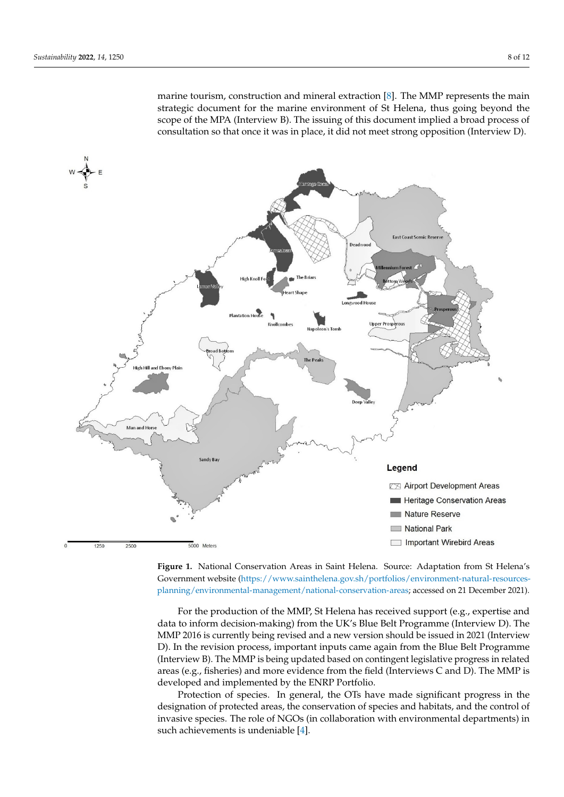<span id="page-7-0"></span>marine tourism, construction and mineral extraction [\[8\]](#page-11-7). The MMP represents the main strategic document for the marine environment of St Helena, thus going beyond the scope of the MPA (Interview B). The issuing of this document implied a broad process of consultation so that once it was in place, it did not meet strong opposition (Interview D). consultation (Interview D).

as part of enforcement (article 33, EPO 2016). St  $\mathcal{L}$ 





For the production of the MMP, St Helena has received support (e.g., expertise and data to inform decision-making) from the UK's Blue Belt Programme (Interview D). The MMP 2016 is currently being revised and a new version should be issued in 2021 (Interview D). In the revision process, important inputs came again from the Blue Belt Programme (Interview B). The MMP is being updated based on contingent legislative progress in related areas (e.g., fisheries) and more evidence from the field (Interviews C and D). The MMP is developed and implemented by the ENRP Portfolio.

Protection of species. In general, the OTs have made significant progress in the designation of protected areas, the conservation of species and habitats, and the control of invasive species. The role of NGOs (in collaboration with environmental departments) in such achievements is undeniable [\[4\]](#page-11-3).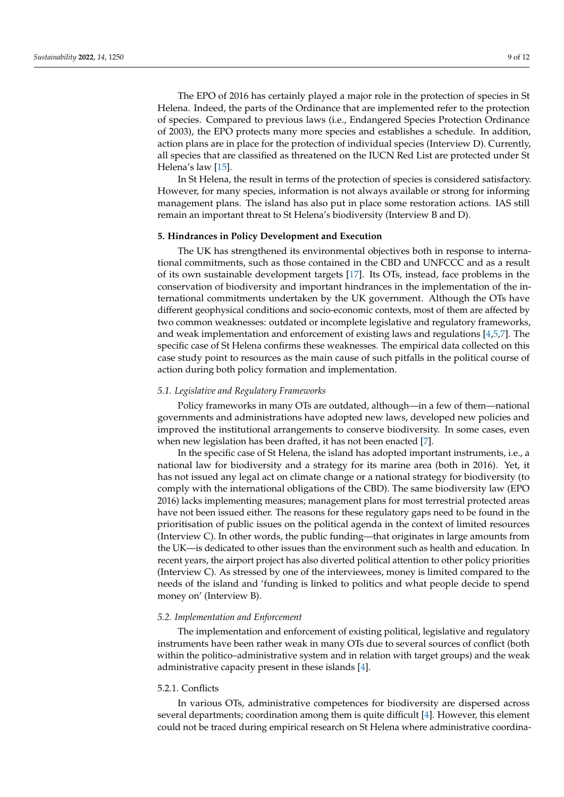The EPO of 2016 has certainly played a major role in the protection of species in St Helena. Indeed, the parts of the Ordinance that are implemented refer to the protection of species. Compared to previous laws (i.e., Endangered Species Protection Ordinance of 2003), the EPO protects many more species and establishes a schedule. In addition, action plans are in place for the protection of individual species (Interview D). Currently, all species that are classified as threatened on the IUCN Red List are protected under St Helena's law [\[15\]](#page-11-14).

In St Helena, the result in terms of the protection of species is considered satisfactory. However, for many species, information is not always available or strong for informing management plans. The island has also put in place some restoration actions. IAS still remain an important threat to St Helena's biodiversity (Interview B and D).

## **5. Hindrances in Policy Development and Execution**

The UK has strengthened its environmental objectives both in response to international commitments, such as those contained in the CBD and UNFCCC and as a result of its own sustainable development targets [\[17\]](#page-11-16). Its OTs, instead, face problems in the conservation of biodiversity and important hindrances in the implementation of the international commitments undertaken by the UK government. Although the OTs have different geophysical conditions and socio-economic contexts, most of them are affected by two common weaknesses: outdated or incomplete legislative and regulatory frameworks, and weak implementation and enforcement of existing laws and regulations [\[4](#page-11-3)[,5,](#page-11-4)[7\]](#page-11-6). The specific case of St Helena confirms these weaknesses. The empirical data collected on this case study point to resources as the main cause of such pitfalls in the political course of action during both policy formation and implementation.

## *5.1. Legislative and Regulatory Frameworks*

Policy frameworks in many OTs are outdated, although—in a few of them—national governments and administrations have adopted new laws, developed new policies and improved the institutional arrangements to conserve biodiversity. In some cases, even when new legislation has been drafted, it has not been enacted [\[7\]](#page-11-6).

In the specific case of St Helena, the island has adopted important instruments, i.e., a national law for biodiversity and a strategy for its marine area (both in 2016). Yet, it has not issued any legal act on climate change or a national strategy for biodiversity (to comply with the international obligations of the CBD). The same biodiversity law (EPO 2016) lacks implementing measures; management plans for most terrestrial protected areas have not been issued either. The reasons for these regulatory gaps need to be found in the prioritisation of public issues on the political agenda in the context of limited resources (Interview C). In other words, the public funding—that originates in large amounts from the UK—is dedicated to other issues than the environment such as health and education. In recent years, the airport project has also diverted political attention to other policy priorities (Interview C). As stressed by one of the interviewees, money is limited compared to the needs of the island and 'funding is linked to politics and what people decide to spend money on' (Interview B).

# *5.2. Implementation and Enforcement*

The implementation and enforcement of existing political, legislative and regulatory instruments have been rather weak in many OTs due to several sources of conflict (both within the politico–administrative system and in relation with target groups) and the weak administrative capacity present in these islands [\[4\]](#page-11-3).

# 5.2.1. Conflicts

In various OTs, administrative competences for biodiversity are dispersed across several departments; coordination among them is quite difficult [\[4\]](#page-11-3). However, this element could not be traced during empirical research on St Helena where administrative coordina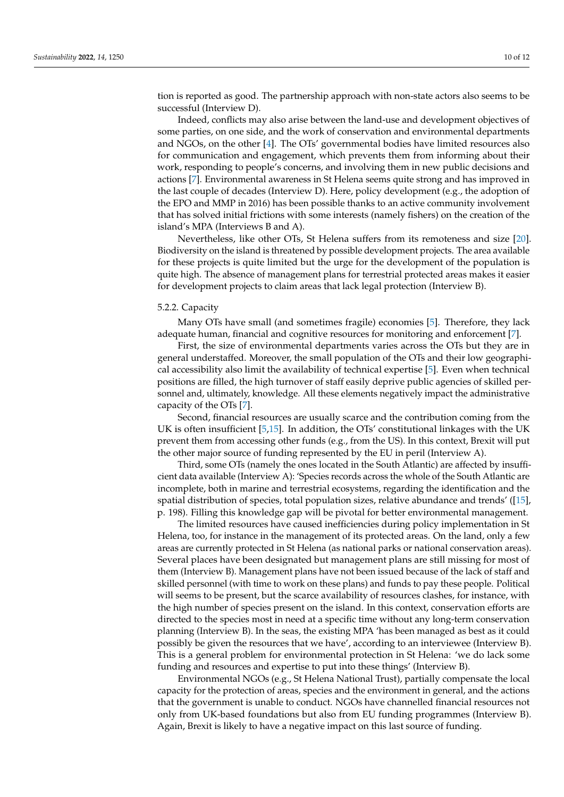tion is reported as good. The partnership approach with non-state actors also seems to be successful (Interview D).

Indeed, conflicts may also arise between the land-use and development objectives of some parties, on one side, and the work of conservation and environmental departments and NGOs, on the other [\[4\]](#page-11-3). The OTs' governmental bodies have limited resources also for communication and engagement, which prevents them from informing about their work, responding to people's concerns, and involving them in new public decisions and actions [\[7\]](#page-11-6). Environmental awareness in St Helena seems quite strong and has improved in the last couple of decades (Interview D). Here, policy development (e.g., the adoption of the EPO and MMP in 2016) has been possible thanks to an active community involvement that has solved initial frictions with some interests (namely fishers) on the creation of the island's MPA (Interviews B and A).

Nevertheless, like other OTs, St Helena suffers from its remoteness and size [\[20\]](#page-11-19). Biodiversity on the island is threatened by possible development projects. The area available for these projects is quite limited but the urge for the development of the population is quite high. The absence of management plans for terrestrial protected areas makes it easier for development projects to claim areas that lack legal protection (Interview B).

## 5.2.2. Capacity

Many OTs have small (and sometimes fragile) economies [\[5\]](#page-11-4). Therefore, they lack adequate human, financial and cognitive resources for monitoring and enforcement [\[7\]](#page-11-6).

First, the size of environmental departments varies across the OTs but they are in general understaffed. Moreover, the small population of the OTs and their low geographical accessibility also limit the availability of technical expertise [\[5\]](#page-11-4). Even when technical positions are filled, the high turnover of staff easily deprive public agencies of skilled personnel and, ultimately, knowledge. All these elements negatively impact the administrative capacity of the OTs [\[7\]](#page-11-6).

Second, financial resources are usually scarce and the contribution coming from the UK is often insufficient [\[5,](#page-11-4)[15\]](#page-11-14). In addition, the OTs' constitutional linkages with the UK prevent them from accessing other funds (e.g., from the US). In this context, Brexit will put the other major source of funding represented by the EU in peril (Interview A).

Third, some OTs (namely the ones located in the South Atlantic) are affected by insufficient data available (Interview A): 'Species records across the whole of the South Atlantic are incomplete, both in marine and terrestrial ecosystems, regarding the identification and the spatial distribution of species, total population sizes, relative abundance and trends' ([\[15\]](#page-11-14), p. 198). Filling this knowledge gap will be pivotal for better environmental management.

The limited resources have caused inefficiencies during policy implementation in St Helena, too, for instance in the management of its protected areas. On the land, only a few areas are currently protected in St Helena (as national parks or national conservation areas). Several places have been designated but management plans are still missing for most of them (Interview B). Management plans have not been issued because of the lack of staff and skilled personnel (with time to work on these plans) and funds to pay these people. Political will seems to be present, but the scarce availability of resources clashes, for instance, with the high number of species present on the island. In this context, conservation efforts are directed to the species most in need at a specific time without any long-term conservation planning (Interview B). In the seas, the existing MPA 'has been managed as best as it could possibly be given the resources that we have', according to an interviewee (Interview B). This is a general problem for environmental protection in St Helena: 'we do lack some funding and resources and expertise to put into these things' (Interview B).

Environmental NGOs (e.g., St Helena National Trust), partially compensate the local capacity for the protection of areas, species and the environment in general, and the actions that the government is unable to conduct. NGOs have channelled financial resources not only from UK-based foundations but also from EU funding programmes (Interview B). Again, Brexit is likely to have a negative impact on this last source of funding.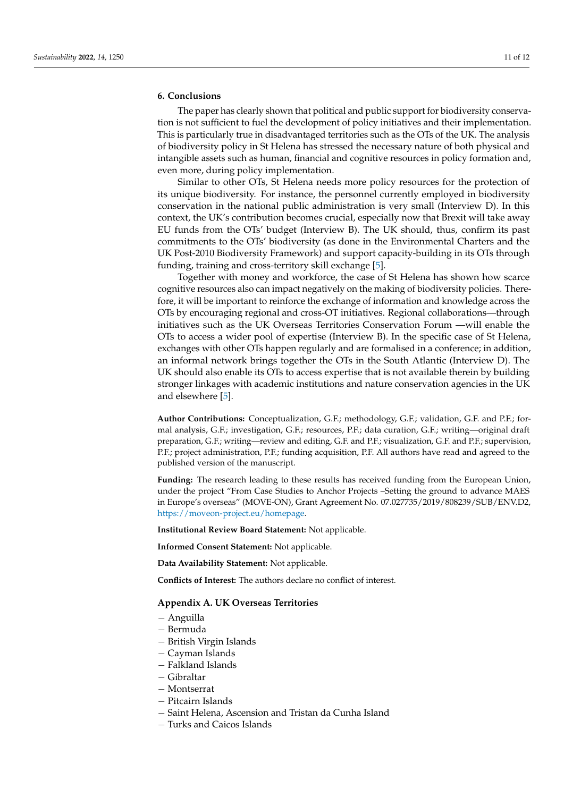# **6. Conclusions**

The paper has clearly shown that political and public support for biodiversity conservation is not sufficient to fuel the development of policy initiatives and their implementation. This is particularly true in disadvantaged territories such as the OTs of the UK. The analysis of biodiversity policy in St Helena has stressed the necessary nature of both physical and intangible assets such as human, financial and cognitive resources in policy formation and, even more, during policy implementation.

Similar to other OTs, St Helena needs more policy resources for the protection of its unique biodiversity. For instance, the personnel currently employed in biodiversity conservation in the national public administration is very small (Interview D). In this context, the UK's contribution becomes crucial, especially now that Brexit will take away EU funds from the OTs' budget (Interview B). The UK should, thus, confirm its past commitments to the OTs' biodiversity (as done in the Environmental Charters and the UK Post-2010 Biodiversity Framework) and support capacity-building in its OTs through funding, training and cross-territory skill exchange [\[5\]](#page-11-4).

Together with money and workforce, the case of St Helena has shown how scarce cognitive resources also can impact negatively on the making of biodiversity policies. Therefore, it will be important to reinforce the exchange of information and knowledge across the OTs by encouraging regional and cross-OT initiatives. Regional collaborations—through initiatives such as the UK Overseas Territories Conservation Forum —will enable the OTs to access a wider pool of expertise (Interview B). In the specific case of St Helena, exchanges with other OTs happen regularly and are formalised in a conference; in addition, an informal network brings together the OTs in the South Atlantic (Interview D). The UK should also enable its OTs to access expertise that is not available therein by building stronger linkages with academic institutions and nature conservation agencies in the UK and elsewhere [\[5\]](#page-11-4).

**Author Contributions:** Conceptualization, G.F.; methodology, G.F.; validation, G.F. and P.F.; formal analysis, G.F.; investigation, G.F.; resources, P.F.; data curation, G.F.; writing—original draft preparation, G.F.; writing—review and editing, G.F. and P.F.; visualization, G.F. and P.F.; supervision, P.F.; project administration, P.F.; funding acquisition, P.F. All authors have read and agreed to the published version of the manuscript.

**Funding:** The research leading to these results has received funding from the European Union, under the project "From Case Studies to Anchor Projects –Setting the ground to advance MAES in Europe's overseas" (MOVE-ON), Grant Agreement No. 07.027735/2019/808239/SUB/ENV.D2, [https://moveon-project.eu/homepage.](https://moveon-project.eu/homepage)

**Institutional Review Board Statement:** Not applicable.

**Informed Consent Statement:** Not applicable.

**Data Availability Statement:** Not applicable.

**Conflicts of Interest:** The authors declare no conflict of interest.

## <span id="page-10-0"></span>**Appendix A. UK Overseas Territories**

- − Anguilla
- − Bermuda
- − British Virgin Islands
- − Cayman Islands
- − Falkland Islands
- − Gibraltar
- − Montserrat
- − Pitcairn Islands
- − Saint Helena, Ascension and Tristan da Cunha Island
- − Turks and Caicos Islands